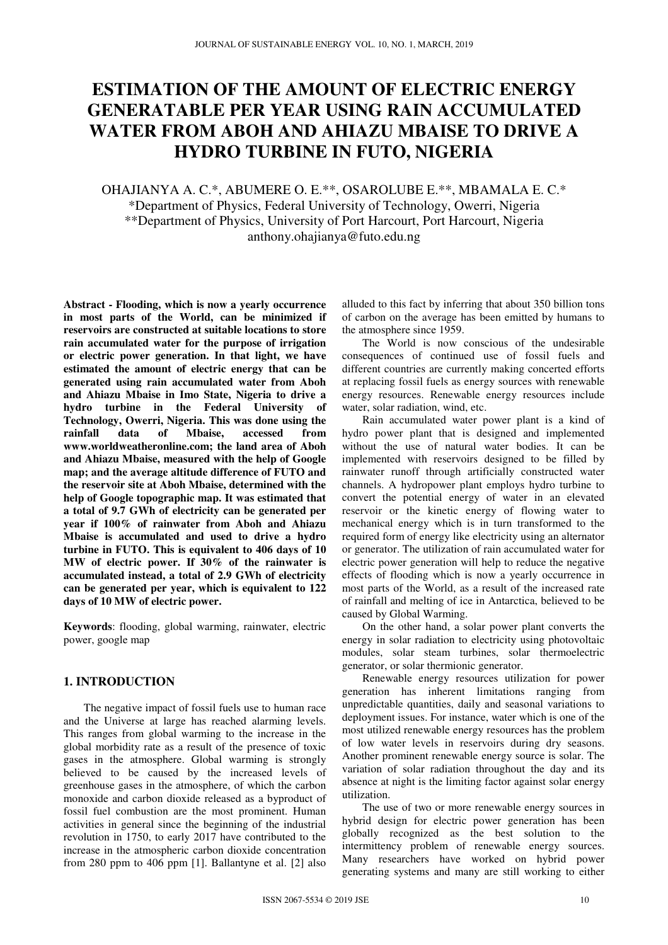# **ESTIMATION OF THE AMOUNT OF ELECTRIC ENERGY GENERATABLE PER YEAR USING RAIN ACCUMULATED WATER FROM ABOH AND AHIAZU MBAISE TO DRIVE A HYDRO TURBINE IN FUTO, NIGERIA**

## OHAJIANYA A. C.\*, ABUMERE O. E.\*\*, OSAROLUBE E.\*\*, MBAMALA E. C.\* \*Department of Physics, Federal University of Technology, Owerri, Nigeria \*\*Department of Physics, University of Port Harcourt, Port Harcourt, Nigeria anthony.ohajianya@futo.edu.ng

**Abstract - Flooding, which is now a yearly occurrence in most parts of the World, can be minimized if reservoirs are constructed at suitable locations to store rain accumulated water for the purpose of irrigation or electric power generation. In that light, we have estimated the amount of electric energy that can be generated using rain accumulated water from Aboh and Ahiazu Mbaise in Imo State, Nigeria to drive a hydro turbine in the Federal University of Technology, Owerri, Nigeria. This was done using the rainfall data of Mbaise, accessed from www.worldweatheronline.com; the land area of Aboh and Ahiazu Mbaise, measured with the help of Google map; and the average altitude difference of FUTO and the reservoir site at Aboh Mbaise, determined with the help of Google topographic map. It was estimated that a total of 9.7 GWh of electricity can be generated per year if 100% of rainwater from Aboh and Ahiazu Mbaise is accumulated and used to drive a hydro turbine in FUTO. This is equivalent to 406 days of 10 MW of electric power. If 30% of the rainwater is accumulated instead, a total of 2.9 GWh of electricity can be generated per year, which is equivalent to 122 days of 10 MW of electric power.** 

**Keywords**: flooding, global warming, rainwater, electric power, google map

### **1. INTRODUCTION**

The negative impact of fossil fuels use to human race and the Universe at large has reached alarming levels. This ranges from global warming to the increase in the global morbidity rate as a result of the presence of toxic gases in the atmosphere. Global warming is strongly believed to be caused by the increased levels of greenhouse gases in the atmosphere, of which the carbon monoxide and carbon dioxide released as a byproduct of fossil fuel combustion are the most prominent. Human activities in general since the beginning of the industrial revolution in 1750, to early 2017 have contributed to the increase in the atmospheric carbon dioxide concentration from 280 ppm to 406 ppm [1]. Ballantyne et al. [2] also

alluded to this fact by inferring that about 350 billion tons of carbon on the average has been emitted by humans to the atmosphere since 1959.

The World is now conscious of the undesirable consequences of continued use of fossil fuels and different countries are currently making concerted efforts at replacing fossil fuels as energy sources with renewable energy resources. Renewable energy resources include water, solar radiation, wind, etc.

Rain accumulated water power plant is a kind of hydro power plant that is designed and implemented without the use of natural water bodies. It can be implemented with reservoirs designed to be filled by rainwater runoff through artificially constructed water channels. A hydropower plant employs hydro turbine to convert the potential energy of water in an elevated reservoir or the kinetic energy of flowing water to mechanical energy which is in turn transformed to the required form of energy like electricity using an alternator or generator. The utilization of rain accumulated water for electric power generation will help to reduce the negative effects of flooding which is now a yearly occurrence in most parts of the World, as a result of the increased rate of rainfall and melting of ice in Antarctica, believed to be caused by Global Warming.

On the other hand, a solar power plant converts the energy in solar radiation to electricity using photovoltaic modules, solar steam turbines, solar thermoelectric generator, or solar thermionic generator.

Renewable energy resources utilization for power generation has inherent limitations ranging from unpredictable quantities, daily and seasonal variations to deployment issues. For instance, water which is one of the most utilized renewable energy resources has the problem of low water levels in reservoirs during dry seasons. Another prominent renewable energy source is solar. The variation of solar radiation throughout the day and its absence at night is the limiting factor against solar energy utilization.

The use of two or more renewable energy sources in hybrid design for electric power generation has been globally recognized as the best solution to the intermittency problem of renewable energy sources. Many researchers have worked on hybrid power generating systems and many are still working to either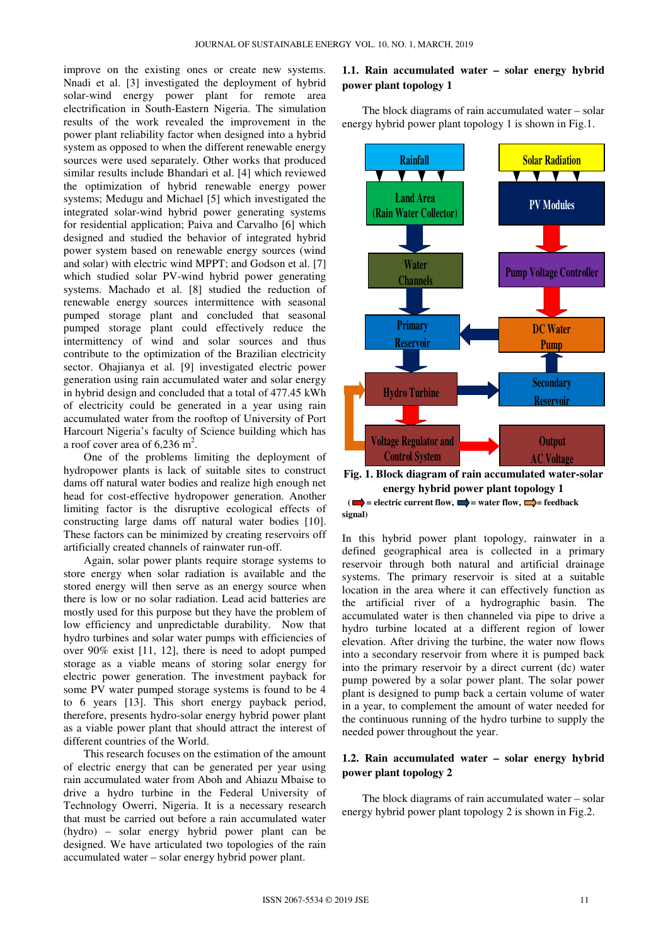improve on the existing ones or create new systems. Nnadi et al. [3] investigated the deployment of hybrid solar-wind energy power plant for remote area electrification in South-Eastern Nigeria. The simulation results of the work revealed the improvement in the power plant reliability factor when designed into a hybrid system as opposed to when the different renewable energy sources were used separately. Other works that produced similar results include Bhandari et al. [4] which reviewed the optimization of hybrid renewable energy power systems; Medugu and Michael [5] which investigated the integrated solar-wind hybrid power generating systems for residential application; Paiva and Carvalho [6] which designed and studied the behavior of integrated hybrid power system based on renewable energy sources (wind and solar) with electric wind MPPT; and Godson et al. [7] which studied solar PV-wind hybrid power generating systems. Machado et al. [8] studied the reduction of renewable energy sources intermittence with seasonal pumped storage plant and concluded that seasonal pumped storage plant could effectively reduce the intermittency of wind and solar sources and thus contribute to the optimization of the Brazilian electricity sector. Ohajianya et al. [9] investigated electric power generation using rain accumulated water and solar energy in hybrid design and concluded that a total of 477.45 kWh of electricity could be generated in a year using rain accumulated water from the rooftop of University of Port Harcourt Nigeria's faculty of Science building which has a roof cover area of  $6,236$  m<sup>2</sup>.

One of the problems limiting the deployment of hydropower plants is lack of suitable sites to construct dams off natural water bodies and realize high enough net head for cost-effective hydropower generation. Another limiting factor is the disruptive ecological effects of constructing large dams off natural water bodies [10]. These factors can be minimized by creating reservoirs off artificially created channels of rainwater run-off.

Again, solar power plants require storage systems to store energy when solar radiation is available and the stored energy will then serve as an energy source when there is low or no solar radiation. Lead acid batteries are mostly used for this purpose but they have the problem of low efficiency and unpredictable durability. Now that hydro turbines and solar water pumps with efficiencies of over 90% exist [11, 12], there is need to adopt pumped storage as a viable means of storing solar energy for electric power generation. The investment payback for some PV water pumped storage systems is found to be 4 to 6 years [13]. This short energy payback period, therefore, presents hydro-solar energy hybrid power plant as a viable power plant that should attract the interest of different countries of the World.

This research focuses on the estimation of the amount of electric energy that can be generated per year using rain accumulated water from Aboh and Ahiazu Mbaise to drive a hydro turbine in the Federal University of Technology Owerri, Nigeria. It is a necessary research that must be carried out before a rain accumulated water (hydro) – solar energy hybrid power plant can be designed. We have articulated two topologies of the rain accumulated water – solar energy hybrid power plant.

#### **1.1. Rain accumulated water – solar energy hybrid power plant topology 1**

The block diagrams of rain accumulated water – solar energy hybrid power plant topology 1 is shown in Fig.1.



**Fig. 1. Block diagram of rain accumulated water-solar energy hybrid power plant topology 1**   $\left( \right)$  = electric current flow,  $\right)$  = water flow,  $\right)$  = feedback **signal)** 

In this hybrid power plant topology, rainwater in a defined geographical area is collected in a primary reservoir through both natural and artificial drainage systems. The primary reservoir is sited at a suitable location in the area where it can effectively function as the artificial river of a hydrographic basin. The accumulated water is then channeled via pipe to drive a hydro turbine located at a different region of lower elevation. After driving the turbine, the water now flows into a secondary reservoir from where it is pumped back into the primary reservoir by a direct current (dc) water pump powered by a solar power plant. The solar power plant is designed to pump back a certain volume of water in a year, to complement the amount of water needed for the continuous running of the hydro turbine to supply the needed power throughout the year.

#### **1.2. Rain accumulated water – solar energy hybrid power plant topology 2**

The block diagrams of rain accumulated water – solar energy hybrid power plant topology 2 is shown in Fig.2.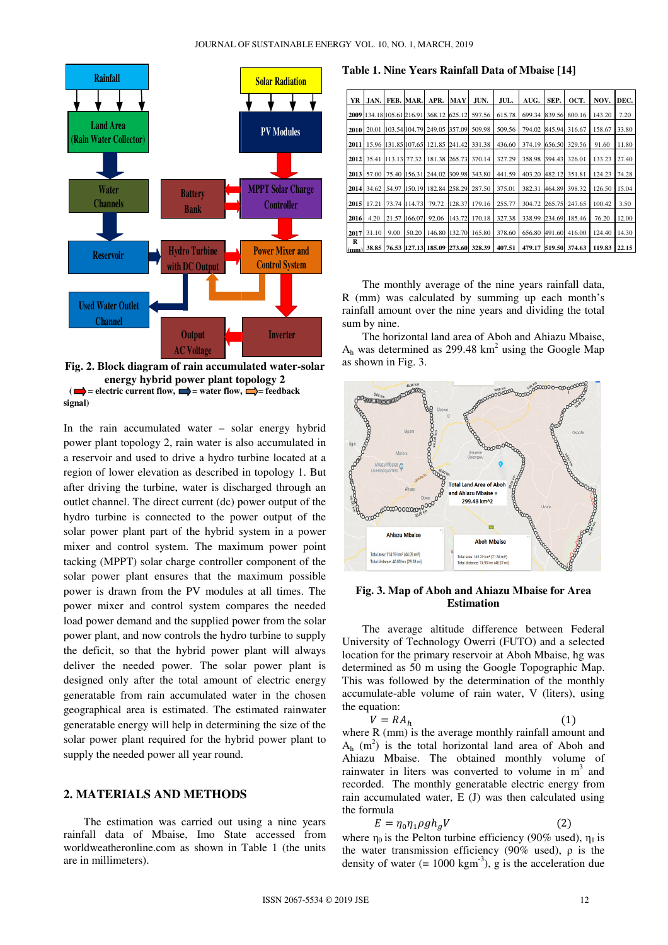

**Fig. 2. Block diagram of rain accumulated water water-solar energy hybrid power plant topology 2**  $(\blacksquare)$  = electric current flow,  $\blacksquare$  = water flow,  $\blacksquare$  = feedback **signal)** 

In the rain accumulated water – solar energy hybrid power plant topology 2, rain water is also accumulated in a reservoir and used to drive a hydro turbine located at a region of lower elevation as described in topology 1. But after driving the turbine, water is discharged through an outlet channel. The direct current (dc) power output of the hydro turbine is connected to the power output of the solar power plant part of the hybrid system in a power mixer and control system. The maximum power point tacking (MPPT) solar charge controller component of the solar power plant ensures that the maximum possible power is drawn from the PV modules at all times. The power mixer and control system compares the needed load power demand and the supplied power from the solar power plant, and now controls the hydro turbine to supply the deficit, so that the hybrid power plant will always deliver the needed power. The solar power plant is designed only after the total amount of electric energy generatable from rain accumulated water in the chosen geographical area is estimated. The estimated rainwater generatable energy will help in determining the size of the solar power plant required for the hybrid power plant to supply the needed power all year round. nel. The direct current (dc) power output of the<br>ne is connected to the power output of the<br>r plant part of the hybrid system in a power<br>control system. The maximum power point<br>PPT) solar charge controller component of the

#### **2. MATERIALS AND METHODS**

The estimation was carried out using a nine years rainfall data of Mbaise, Imo State accessed from worldweatheronline.com as shown in Table 1 (the units are in millimeters).

**Table 1. Nine Years Rainfall Data of Mbaise [14]** 

| YR        | JAN.       |                      | FEB. MAR.           | APR.   | <b>MAY</b> | JUN.   | JUL.   | AUG.   | SEP.   | OCT.   | NOV.   | DEC.  |
|-----------|------------|----------------------|---------------------|--------|------------|--------|--------|--------|--------|--------|--------|-------|
| 2009      |            | 134.18 105.61 216.91 |                     | 368.12 | 625.12     | 597.56 | 615.78 | 699.34 | 839.56 | 800.16 | 143.20 | 7.20  |
| 2010      | 20.01      |                      | 103.54 104.79       | 249.05 | 357.09     | 509.98 | 509.56 | 794.02 | 845.94 | 316.67 | 158.67 | 33.80 |
| 2011      |            |                      | 15.96 131.85 107.65 | 121.85 | 241.42     | 331.38 | 436.60 | 374.19 | 656.50 | 329.56 | 91.60  | 11.80 |
| 2012      | 35.41      | 113.13 77.32         |                     | 181.38 | 265.73     | 370.14 | 327.29 | 358.98 | 394.43 | 326.01 | 133.23 | 27.40 |
| 2013      | 57.00      | 75.40                | 156.31              | 244.02 | 309.98     | 343.80 | 441.59 | 403.20 | 482.12 | 351.81 | 124.23 | 74.28 |
|           | 2014 34.62 | 54.97                | 150.19              | 182.84 | 258.29     | 287.50 | 375.01 | 382.31 | 464.89 | 398.32 | 126.50 | 15.04 |
|           |            |                      |                     |        |            |        |        |        |        |        |        |       |
| 2015      | 17.21      | 73.74                | 114.73              | 79.72  | 128.37     | 179.16 | 255.77 | 304.72 | 265.75 | 247.65 | 100.42 | 3.50  |
| 2016      | 4.20       | 21.57                | 166.07              | 92.06  | 143.72     | 170.18 | 327.38 | 338.99 | 234.69 | 185.46 | 76.20  | 12.00 |
| 2017<br>R | 31.10      | 9.00                 | 50.20               | 146.80 | 132.70     | 165.80 | 378.60 | 656.80 | 491.60 | 416.00 | 124.40 | 14.30 |
| (mm)      | 38.85      |                      | 76.53 127.13        | 185.09 | 273.60     | 328.39 | 407.51 | 479.17 | 519.50 | 374.63 | 119.83 | 22.15 |

The monthly average of the nine years rainfall data, R (mm) was calculated by summing up each month's rainfall amount over the nine years and dividing the total sum by nine.

The horizontal land area of Aboh and Ahiazu Mbaise,  $A_h$  was determined as 299.48 km<sup>2</sup> using the Google Map as shown in Fig. 3.



**Fig. 3. Map of Aboh and Ahiazu Mbaise for Area Estimation**

The average altitude difference between Federal University of Technology Owerri (FUTO) and a selected location for the primary reservoir at Aboh Mbaise, hg was determined as 50 m using the Google Topographic Map. This was followed by the determination of the monthly accumulate-able volume of rain water, V (liters), using the equation: he average altitude difference between Federal<br>rsity of Technology Owerri (FUTO) and a selected<br>on for the primary reservoir at Aboh Mbaise, hg was<br>nined as 50 m using the Google Topographic Map.<br>was followed by the determ

$$
V = RA_h \tag{1}
$$

where R (mm) is the average monthly rainfall amount and  $A_h$  (m<sup>2</sup>) is the total horizontal land area of Aboh and Ahiazu Mbaise. The obtained monthly volume of rainwater in liters was converted to volume in m<sup>3</sup> and recorded. The monthly generatable electric energy from rain accumulated water, E (J) was then calculated using the formula

$$
E = \eta_0 \eta_1 \rho g h_g V \tag{2}
$$

where  $\eta_0$  is the Pelton turbine efficiency (90% used),  $\eta_1$  is the water transmission efficiency (90% used),  $\rho$  is the density of water  $(= 1000 \text{ kgm}^{-3})$ , g is the acceleration due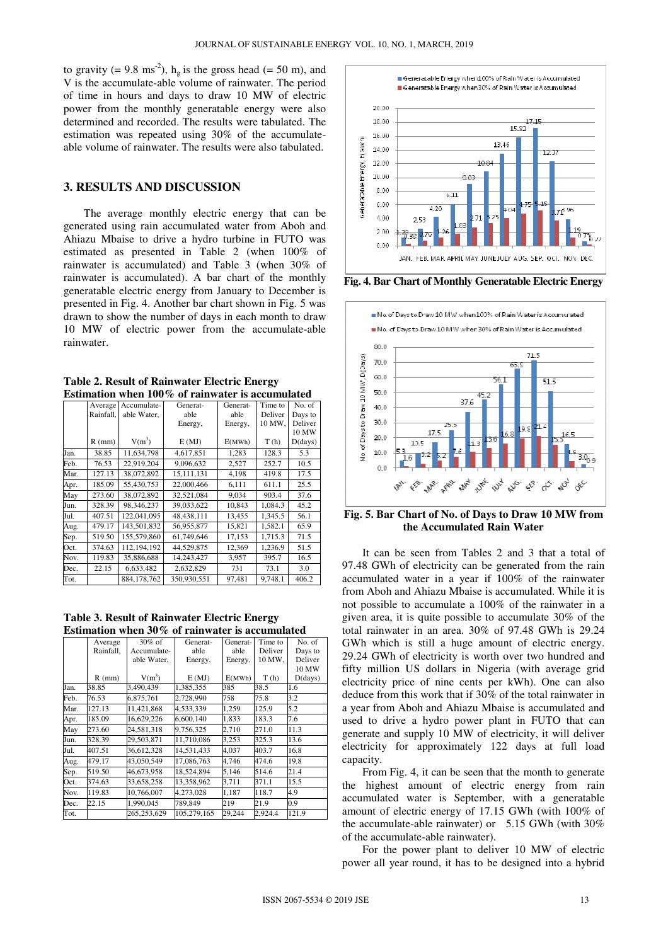to gravity (= 9.8 ms<sup>-2</sup>),  $h_g$  is the gross head (= 50 m), and V is the accumulate-able volume of rainwater. The period of time in hours and days to draw 10 MW of electric power from the monthly generatable energy were also determined and recorded. The results were tabulated. The estimation was repeated using 30% of the accumulateable volume of rainwater. The results were also tabulated.

#### **3. RESULTS AND DISCUSSION**

The average monthly electric energy that can be generated using rain accumulated water from Aboh and Ahiazu Mbaise to drive a hydro turbine in FUTO was estimated as presented in Table 2 (when 100% of rainwater is accumulated) and Table 3 (when 30% of rainwater is accumulated). A bar chart of the monthly generatable electric energy from January to December is presented in Fig. 4. Another bar chart shown in Fig. 5 was drawn to show the number of days in each month to draw 10 MW of electric power from the accumulate-able rainwater.

| <b>Table 2. Result of Rainwater Electric Energy</b> |
|-----------------------------------------------------|
| Estimation when 100% of rainwater is accumulated    |

|      | Average   | Accumulate-   | Generat-     | Generat- | Time to | No. of  |
|------|-----------|---------------|--------------|----------|---------|---------|
|      | Rainfall. | able Water.   | able         | able     | Deliver | Days to |
|      |           |               | Energy,      | Energy,  | 10 MW,  | Deliver |
|      |           |               |              |          |         | 10 MW   |
|      | $R$ (mm)  | $V(m^3)$      | E(MJ)        | E(MWh)   | T(h)    | D(days) |
| Jan. | 38.85     | 11.634.798    | 4,617,851    | 1,283    | 128.3   | 5.3     |
| Feb. | 76.53     | 22.919.204    | 9,096,632    | 2,527    | 252.7   | 10.5    |
| Mar. | 127.13    | 38,072,892    | 15, 111, 131 | 4,198    | 419.8   | 17.5    |
| Apr. | 185.09    | 55,430,753    | 22,000,466   | 6,111    | 611.1   | 25.5    |
| May  | 273.60    | 38,072,892    | 32,521,084   | 9,034    | 903.4   | 37.6    |
| Jun. | 328.39    | 98,346,237    | 39,033,622   | 10,843   | 1,084.3 | 45.2    |
| Jul. | 407.51    | 122,041,095   | 48,438,111   | 13,455   | 1,345.5 | 56.1    |
| Aug. | 479.17    | 143,501,832   | 56,955,877   | 15,821   | 1,582.1 | 65.9    |
| Sep. | 519.50    | 155,579,860   | 61,749,646   | 17,153   | 1,715.3 | 71.5    |
| Oct. | 374.63    | 112, 194, 192 | 44,529,875   | 12,369   | 1,236.9 | 51.5    |
| Nov. | 119.83    | 35,886,688    | 14,243,427   | 3,957    | 395.7   | 16.5    |
| Dec. | 22.15     | 6,633,482     | 2,632,829    | 731      | 73.1    | 3.0     |
| Tot. |           | 884.178.762   | 350,930,551  | 97,481   | 9.748.1 | 406.2   |

| <b>Table 3. Result of Rainwater Electric Energy</b> |
|-----------------------------------------------------|
| Estimation when $30\%$ of rainwater is accumulated  |

|      | Average   | $30\%$ of   | Generat-    | Generat- | Time to | No. of  |
|------|-----------|-------------|-------------|----------|---------|---------|
|      | Rainfall. | Accumulate- | able        | able     | Deliver | Days to |
|      |           | able Water, | Energy,     | Energy,  | 10 MW,  | Deliver |
|      |           |             |             |          |         | 10 MW   |
|      | $R$ (mm)  | $V(m^3)$    | E(MJ)       | E(MWh)   | T(h)    | D(days) |
| Jan. | 38.85     | 3,490,439   | 1,385,355   | 385      | 38.5    | 1.6     |
| Feb. | 76.53     | 6,875,761   | 2,728,990   | 758      | 75.8    | 3.2     |
| Mar. | 127.13    | 11,421,868  | 4,533,339   | 1,259    | 125.9   | 5.2     |
| Apr. | 185.09    | 16,629,226  | 6.600.140   | 1,833    | 183.3   | 7.6     |
| May  | 273.60    | 24.581.318  | 9.756.325   | 2,710    | 271.0   | 11.3    |
| Jun. | 328.39    | 29,503,871  | 11,710,086  | 3,253    | 325.3   | 13.6    |
| Jul. | 407.51    | 36,612,328  | 14,531,433  | 4,037    | 403.7   | 16.8    |
| Aug. | 479.17    | 43.050.549  | 17,086,763  | 4,746    | 474.6   | 19.8    |
| Sep. | 519.50    | 46,673,958  | 18,524,894  | 5,146    | 514.6   | 21.4    |
| Oct. | 374.63    | 33,658,258  | 13,358,962  | 3,711    | 371.1   | 15.5    |
| Nov. | 119.83    | 10,766,007  | 4,273,028   | 1,187    | 118.7   | 4.9     |
| Dec. | 22.15     | 1,990,045   | 789,849     | 219      | 21.9    | 0.9     |
| Tot. |           | 265,253,629 | 105,279,165 | 29,244   | 2,924.4 | 121.9   |



**Fig. 4. Bar Chart of Monthly Generatable Electric Energy** 



**Fig. 5. Bar Chart of No. of Days to Draw 10 MW from the Accumulated Rain Water** 

It can be seen from Tables 2 and 3 that a total of 97.48 GWh of electricity can be generated from the rain accumulated water in a year if 100% of the rainwater from Aboh and Ahiazu Mbaise is accumulated. While it is not possible to accumulate a 100% of the rainwater in a given area, it is quite possible to accumulate 30% of the total rainwater in an area. 30% of 97.48 GWh is 29.24 GWh which is still a huge amount of electric energy. 29.24 GWh of electricity is worth over two hundred and fifty million US dollars in Nigeria (with average grid electricity price of nine cents per kWh). One can also deduce from this work that if 30% of the total rainwater in a year from Aboh and Ahiazu Mbaise is accumulated and used to drive a hydro power plant in FUTO that can generate and supply 10 MW of electricity, it will deliver electricity for approximately 122 days at full load capacity.

From Fig. 4, it can be seen that the month to generate the highest amount of electric energy from rain accumulated water is September, with a generatable amount of electric energy of 17.15 GWh (with 100% of the accumulate-able rainwater) or 5.15 GWh (with 30% of the accumulate-able rainwater).

For the power plant to deliver 10 MW of electric power all year round, it has to be designed into a hybrid